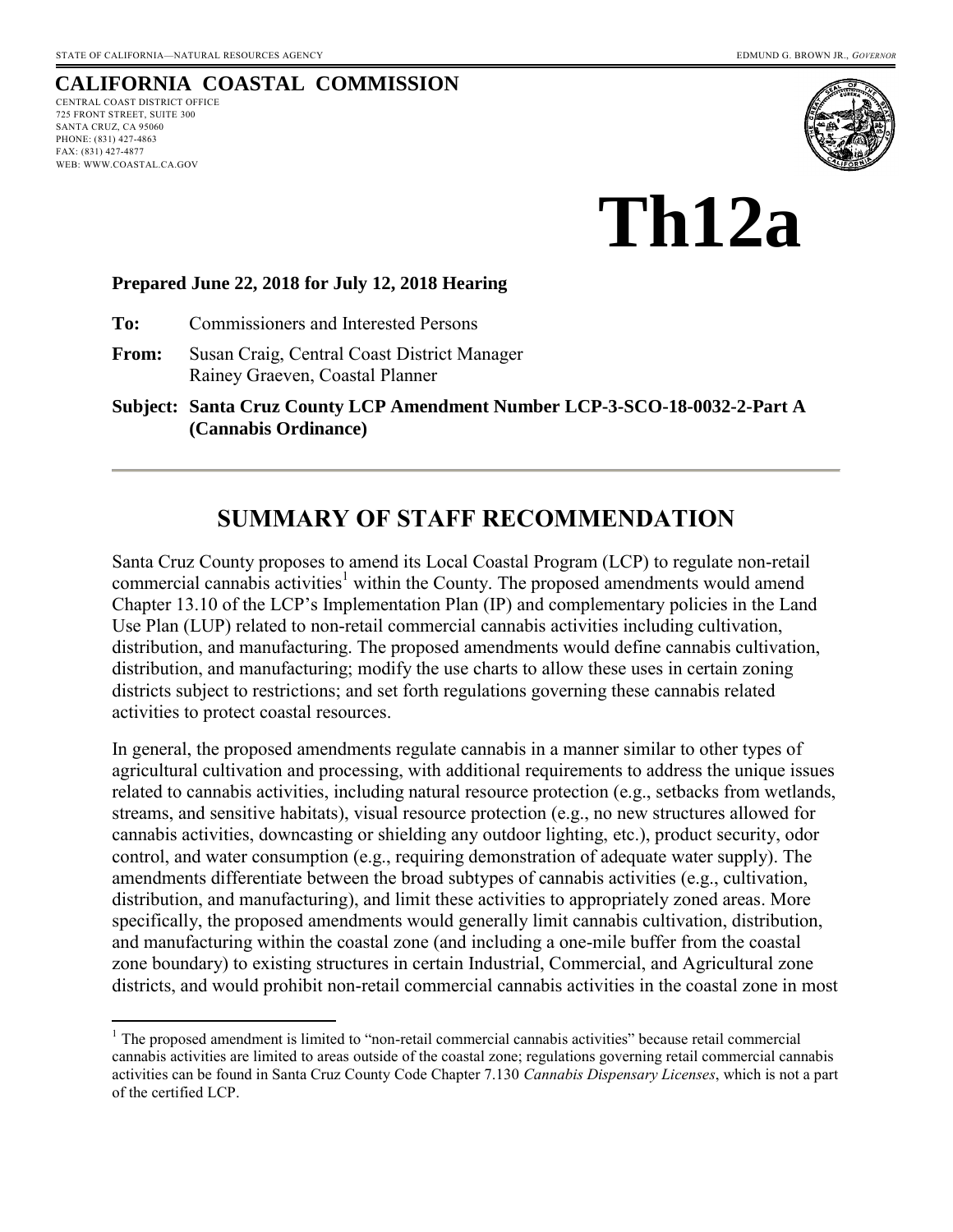### **CALIFORNIA COASTAL COMMISSION**

CENTRAL COAST DISTRICT OFFICE 725 FRONT STREET, SUITE 300 SANTA CRUZ, CA 95060 PHONE: (831) 427-4863 FAX: (831) 427-4877 WEB: WWW.COASTAL.CA.GOV

 $\overline{a}$ 



**Th12a** 

#### **Prepared June 22, 2018 for July 12, 2018 Hearing**

**To:** Commissioners and Interested Persons

**From:** Susan Craig, Central Coast District Manager Rainey Graeven, Coastal Planner

**Subject: Santa Cruz County LCP Amendment Number LCP-3-SCO-18-0032-2-Part A (Cannabis Ordinance)**

# **SUMMARY OF STAFF RECOMMENDATION**

Santa Cruz County proposes to amend its Local Coastal Program (LCP) to regulate non-retail commercial cannabis activities<sup>1</sup> within the County. The proposed amendments would amend Chapter 13.10 of the LCP's Implementation Plan (IP) and complementary policies in the Land Use Plan (LUP) related to non-retail commercial cannabis activities including cultivation, distribution, and manufacturing. The proposed amendments would define cannabis cultivation, distribution, and manufacturing; modify the use charts to allow these uses in certain zoning districts subject to restrictions; and set forth regulations governing these cannabis related activities to protect coastal resources.

In general, the proposed amendments regulate cannabis in a manner similar to other types of agricultural cultivation and processing, with additional requirements to address the unique issues related to cannabis activities, including natural resource protection (e.g., setbacks from wetlands, streams, and sensitive habitats), visual resource protection (e.g., no new structures allowed for cannabis activities, downcasting or shielding any outdoor lighting, etc.), product security, odor control, and water consumption (e.g., requiring demonstration of adequate water supply). The amendments differentiate between the broad subtypes of cannabis activities (e.g., cultivation, distribution, and manufacturing), and limit these activities to appropriately zoned areas. More specifically, the proposed amendments would generally limit cannabis cultivation, distribution, and manufacturing within the coastal zone (and including a one-mile buffer from the coastal zone boundary) to existing structures in certain Industrial, Commercial, and Agricultural zone districts, and would prohibit non-retail commercial cannabis activities in the coastal zone in most

<sup>&</sup>lt;sup>1</sup> The proposed amendment is limited to "non-retail commercial cannabis activities" because retail commercial cannabis activities are limited to areas outside of the coastal zone; regulations governing retail commercial cannabis activities can be found in Santa Cruz County Code Chapter 7.130 *Cannabis Dispensary Licenses*, which is not a part of the certified LCP.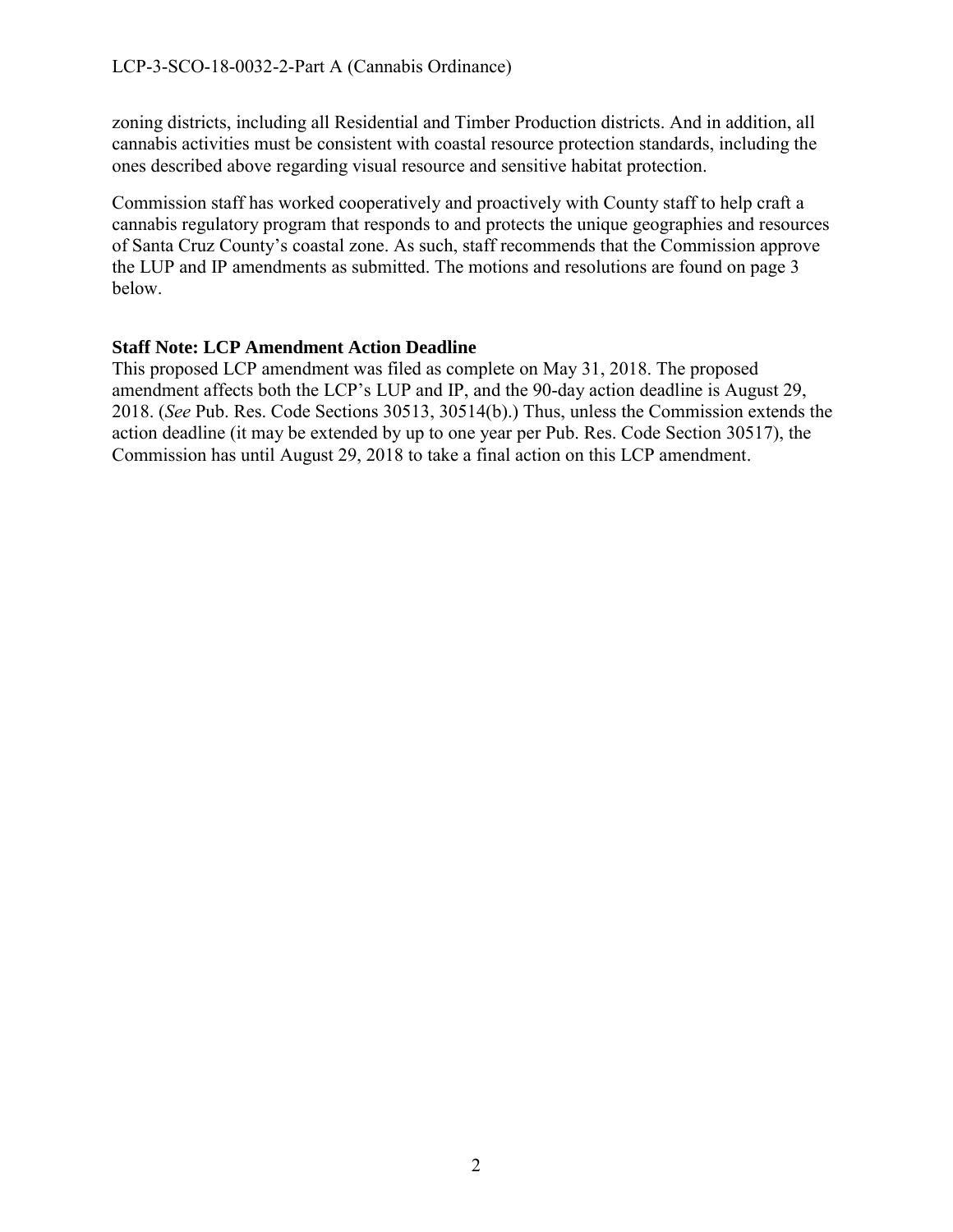zoning districts, including all Residential and Timber Production districts. And in addition, all cannabis activities must be consistent with coastal resource protection standards, including the ones described above regarding visual resource and sensitive habitat protection.

Commission staff has worked cooperatively and proactively with County staff to help craft a cannabis regulatory program that responds to and protects the unique geographies and resources of Santa Cruz County's coastal zone. As such, staff recommends that the Commission approve the LUP and IP amendments as submitted. The motions and resolutions are found on page 3 below.

#### **Staff Note: LCP Amendment Action Deadline**

This proposed LCP amendment was filed as complete on May 31, 2018. The proposed amendment affects both the LCP's LUP and IP, and the 90-day action deadline is August 29, 2018. (*See* Pub. Res. Code Sections 30513, 30514(b).) Thus, unless the Commission extends the action deadline (it may be extended by up to one year per Pub. Res. Code Section 30517), the Commission has until August 29, 2018 to take a final action on this LCP amendment.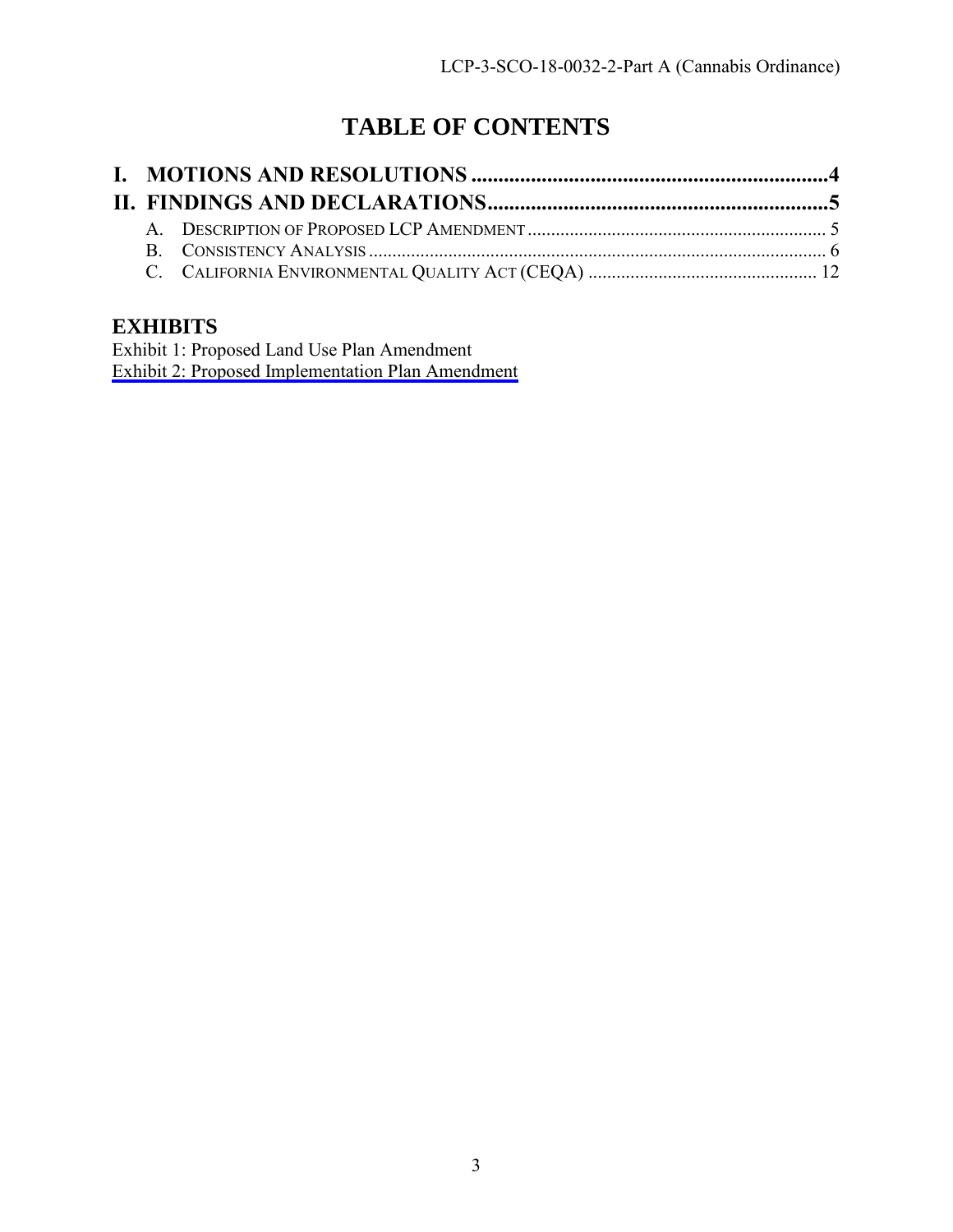# **TABLE OF CONTENTS**

# **EXHIBITS**

Exhibit 1: Proposed Land Use Plan Amendment [Exhibit 2: Proposed Implementation Plan Amendment](https://documents.coastal.ca.gov/reports/2018/7/th12a/th12a-7-2018-exhibits.pdf)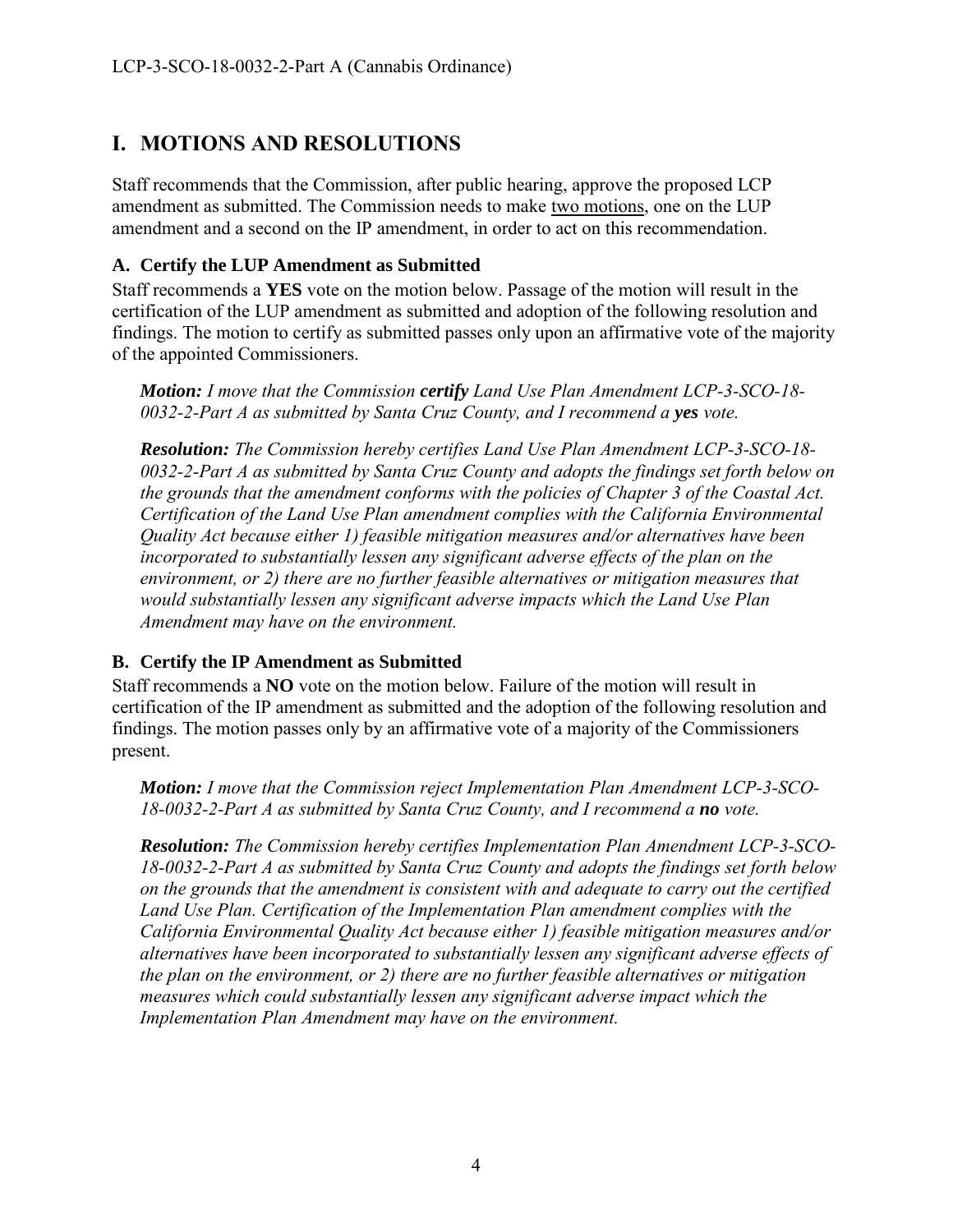# <span id="page-3-0"></span>**I. MOTIONS AND RESOLUTIONS**

Staff recommends that the Commission, after public hearing, approve the proposed LCP amendment as submitted. The Commission needs to make two motions, one on the LUP amendment and a second on the IP amendment, in order to act on this recommendation.

#### **A. Certify the LUP Amendment as Submitted**

Staff recommends a **YES** vote on the motion below. Passage of the motion will result in the certification of the LUP amendment as submitted and adoption of the following resolution and findings. The motion to certify as submitted passes only upon an affirmative vote of the majority of the appointed Commissioners.

*Motion: I move that the Commission certify Land Use Plan Amendment LCP-3-SCO-18- 0032-2-Part A as submitted by Santa Cruz County, and I recommend a yes vote.* 

*Resolution: The Commission hereby certifies Land Use Plan Amendment LCP-3-SCO-18- 0032-2-Part A as submitted by Santa Cruz County and adopts the findings set forth below on the grounds that the amendment conforms with the policies of Chapter 3 of the Coastal Act. Certification of the Land Use Plan amendment complies with the California Environmental Quality Act because either 1) feasible mitigation measures and/or alternatives have been incorporated to substantially lessen any significant adverse effects of the plan on the environment, or 2) there are no further feasible alternatives or mitigation measures that would substantially lessen any significant adverse impacts which the Land Use Plan Amendment may have on the environment.*

#### **B. Certify the IP Amendment as Submitted**

Staff recommends a **NO** vote on the motion below. Failure of the motion will result in certification of the IP amendment as submitted and the adoption of the following resolution and findings. The motion passes only by an affirmative vote of a majority of the Commissioners present.

*Motion: I move that the Commission reject Implementation Plan Amendment LCP-3-SCO-*18-0032-2-Part A as submitted by Santa Cruz County, and I recommend a **no** vote.

*Resolution: The Commission hereby certifies Implementation Plan Amendment LCP-3-SCO-18-0032-2-Part A as submitted by Santa Cruz County and adopts the findings set forth below on the grounds that the amendment is consistent with and adequate to carry out the certified Land Use Plan. Certification of the Implementation Plan amendment complies with the California Environmental Quality Act because either 1) feasible mitigation measures and/or alternatives have been incorporated to substantially lessen any significant adverse effects of the plan on the environment, or 2) there are no further feasible alternatives or mitigation measures which could substantially lessen any significant adverse impact which the Implementation Plan Amendment may have on the environment.*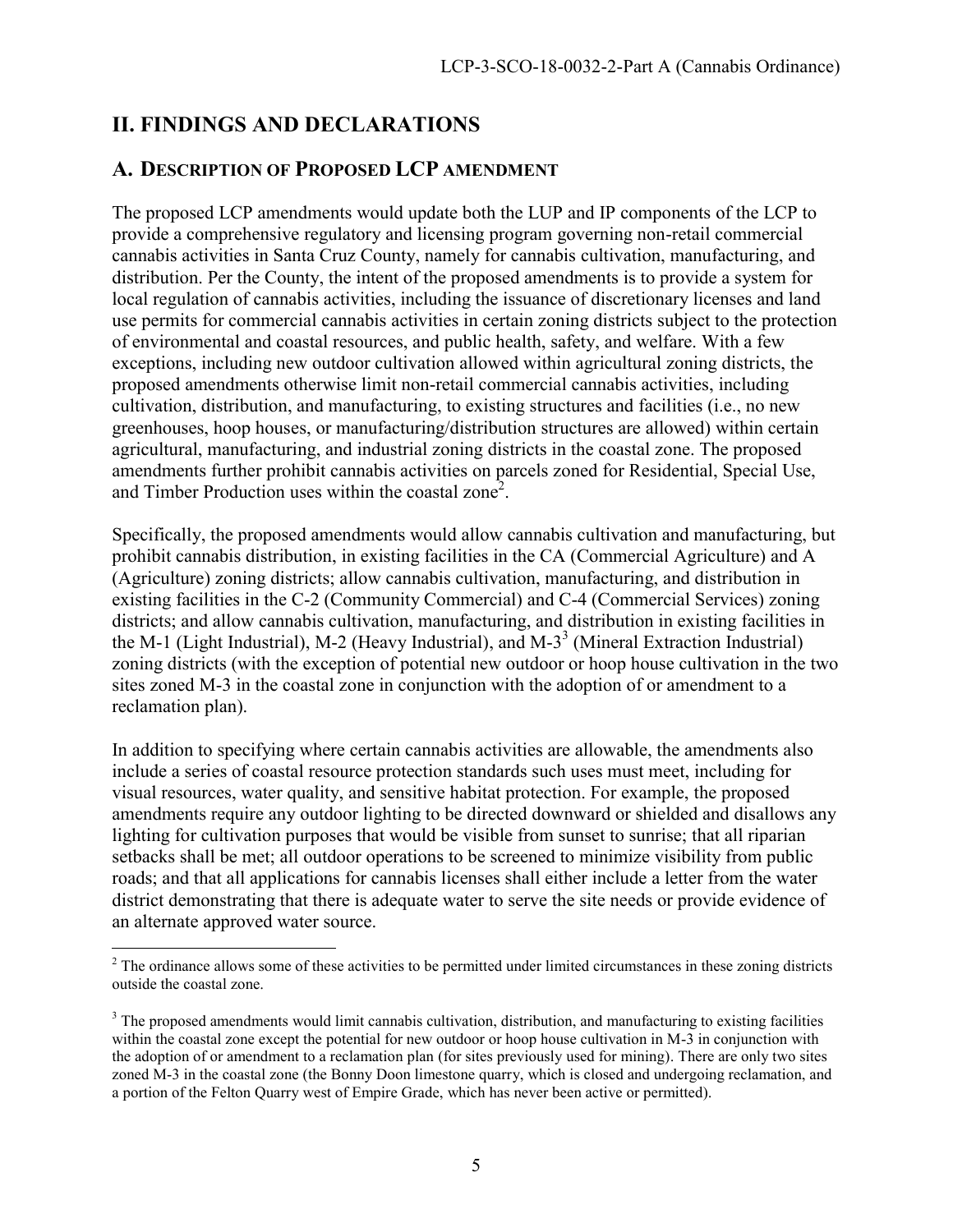# <span id="page-4-0"></span>**II. FINDINGS AND DECLARATIONS**

### <span id="page-4-1"></span>**A. DESCRIPTION OF PROPOSED LCP AMENDMENT**

The proposed LCP amendments would update both the LUP and IP components of the LCP to provide a comprehensive regulatory and licensing program governing non-retail commercial cannabis activities in Santa Cruz County, namely for cannabis cultivation, manufacturing, and distribution. Per the County, the intent of the proposed amendments is to provide a system for local regulation of cannabis activities, including the issuance of discretionary licenses and land use permits for commercial cannabis activities in certain zoning districts subject to the protection of environmental and coastal resources, and public health, safety, and welfare. With a few exceptions, including new outdoor cultivation allowed within agricultural zoning districts, the proposed amendments otherwise limit non-retail commercial cannabis activities, including cultivation, distribution, and manufacturing, to existing structures and facilities (i.e., no new greenhouses, hoop houses, or manufacturing/distribution structures are allowed) within certain agricultural, manufacturing, and industrial zoning districts in the coastal zone. The proposed amendments further prohibit cannabis activities on parcels zoned for Residential, Special Use, and Timber Production uses within the coastal zone<sup>2</sup>.

Specifically, the proposed amendments would allow cannabis cultivation and manufacturing, but prohibit cannabis distribution, in existing facilities in the CA (Commercial Agriculture) and A (Agriculture) zoning districts; allow cannabis cultivation, manufacturing, and distribution in existing facilities in the C-2 (Community Commercial) and C-4 (Commercial Services) zoning districts; and allow cannabis cultivation, manufacturing, and distribution in existing facilities in the M-1 (Light Industrial), M-2 (Heavy Industrial), and M-3<sup>3</sup> (Mineral Extraction Industrial) zoning districts (with the exception of potential new outdoor or hoop house cultivation in the two sites zoned M-3 in the coastal zone in conjunction with the adoption of or amendment to a reclamation plan).

In addition to specifying where certain cannabis activities are allowable, the amendments also include a series of coastal resource protection standards such uses must meet, including for visual resources, water quality, and sensitive habitat protection. For example, the proposed amendments require any outdoor lighting to be directed downward or shielded and disallows any lighting for cultivation purposes that would be visible from sunset to sunrise; that all riparian setbacks shall be met; all outdoor operations to be screened to minimize visibility from public roads; and that all applications for cannabis licenses shall either include a letter from the water district demonstrating that there is adequate water to serve the site needs or provide evidence of an alternate approved water source.

 $\overline{a}$  $2<sup>2</sup>$  The ordinance allows some of these activities to be permitted under limited circumstances in these zoning districts outside the coastal zone.

 $3$  The proposed amendments would limit cannabis cultivation, distribution, and manufacturing to existing facilities within the coastal zone except the potential for new outdoor or hoop house cultivation in M-3 in conjunction with the adoption of or amendment to a reclamation plan (for sites previously used for mining). There are only two sites zoned M-3 in the coastal zone (the Bonny Doon limestone quarry, which is closed and undergoing reclamation, and a portion of the Felton Quarry west of Empire Grade, which has never been active or permitted).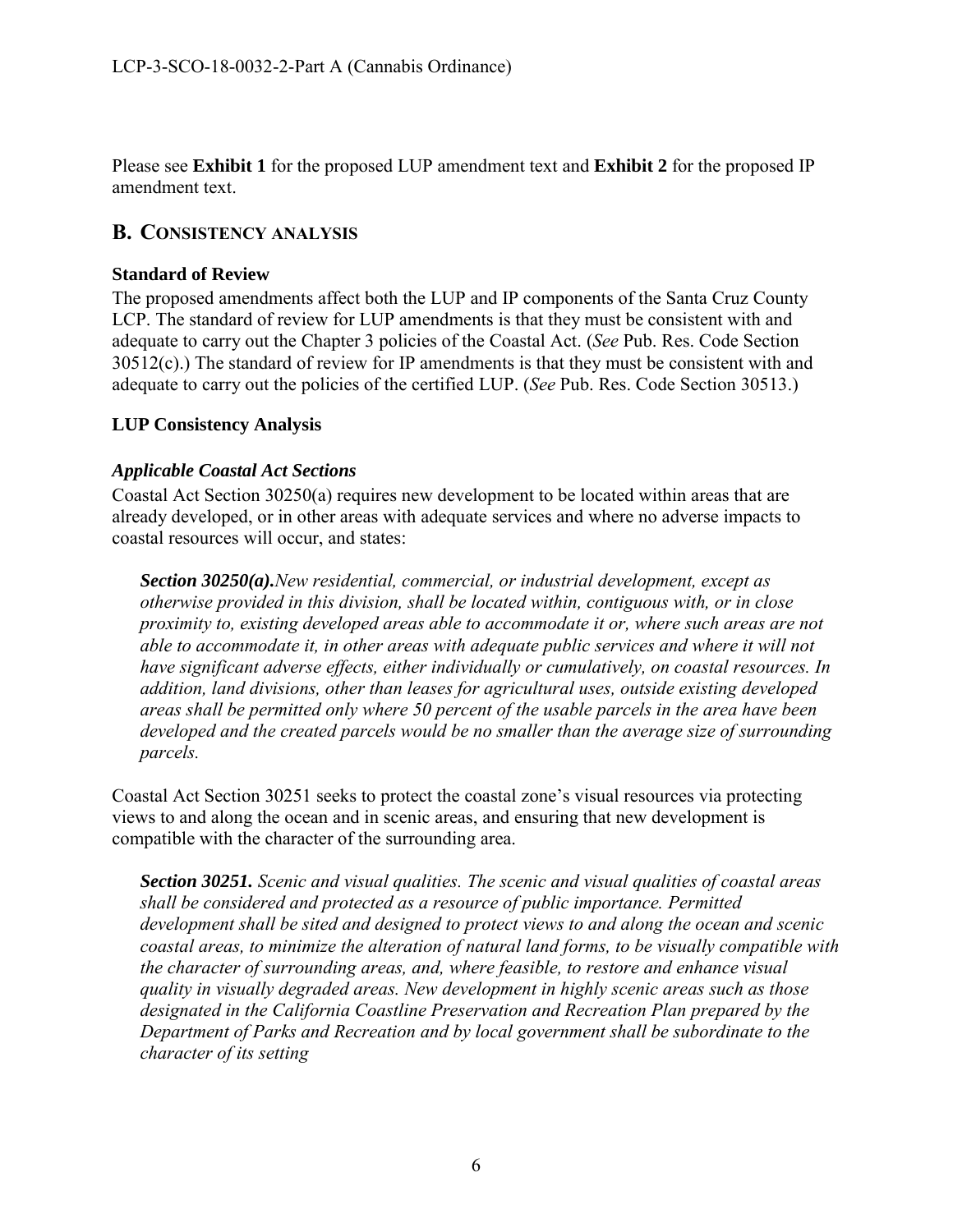Please see **Exhibit 1** for the proposed LUP amendment text and **Exhibit 2** for the proposed IP amendment text.

### <span id="page-5-0"></span>**B. CONSISTENCY ANALYSIS**

#### **Standard of Review**

The proposed amendments affect both the LUP and IP components of the Santa Cruz County LCP. The standard of review for LUP amendments is that they must be consistent with and adequate to carry out the Chapter 3 policies of the Coastal Act. (*See* Pub. Res. Code Section  $30512(c)$ .) The standard of review for IP amendments is that they must be consistent with and adequate to carry out the policies of the certified LUP. (*See* Pub. Res. Code Section 30513.)

#### **LUP Consistency Analysis**

#### *Applicable Coastal Act Sections*

Coastal Act Section 30250(a) requires new development to be located within areas that are already developed, or in other areas with adequate services and where no adverse impacts to coastal resources will occur, and states:

*Section 30250(a).New residential, commercial, or industrial development, except as otherwise provided in this division, shall be located within, contiguous with, or in close proximity to, existing developed areas able to accommodate it or, where such areas are not able to accommodate it, in other areas with adequate public services and where it will not have significant adverse effects, either individually or cumulatively, on coastal resources. In addition, land divisions, other than leases for agricultural uses, outside existing developed areas shall be permitted only where 50 percent of the usable parcels in the area have been developed and the created parcels would be no smaller than the average size of surrounding parcels.* 

Coastal Act Section 30251 seeks to protect the coastal zone's visual resources via protecting views to and along the ocean and in scenic areas, and ensuring that new development is compatible with the character of the surrounding area.

*Section 30251. Scenic and visual qualities. The scenic and visual qualities of coastal areas shall be considered and protected as a resource of public importance. Permitted development shall be sited and designed to protect views to and along the ocean and scenic coastal areas, to minimize the alteration of natural land forms, to be visually compatible with the character of surrounding areas, and, where feasible, to restore and enhance visual quality in visually degraded areas. New development in highly scenic areas such as those designated in the California Coastline Preservation and Recreation Plan prepared by the Department of Parks and Recreation and by local government shall be subordinate to the character of its setting*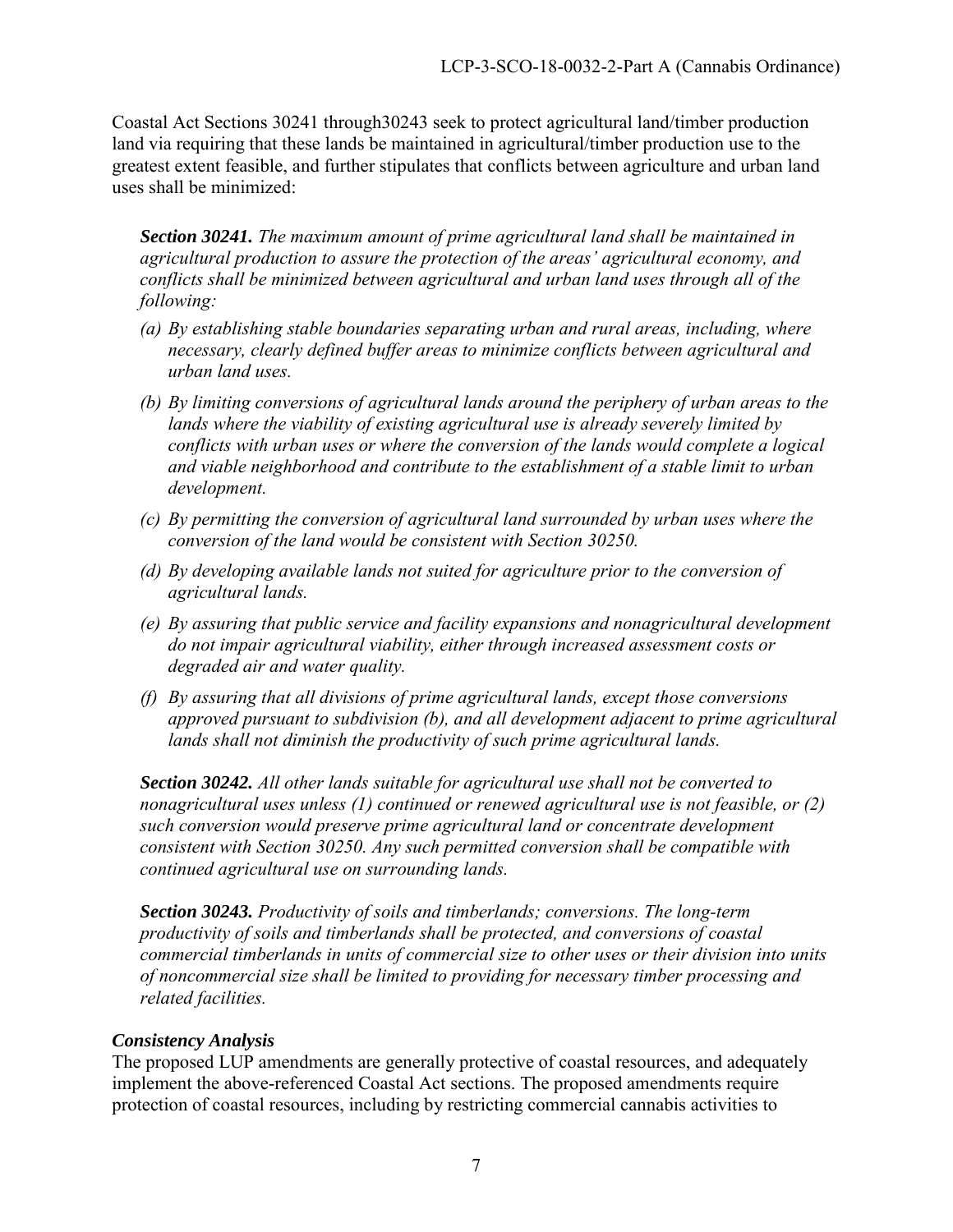Coastal Act Sections 30241 through30243 seek to protect agricultural land/timber production land via requiring that these lands be maintained in agricultural/timber production use to the greatest extent feasible, and further stipulates that conflicts between agriculture and urban land uses shall be minimized:

*Section 30241. The maximum amount of prime agricultural land shall be maintained in agricultural production to assure the protection of the areas' agricultural economy, and conflicts shall be minimized between agricultural and urban land uses through all of the following:* 

- *(a) By establishing stable boundaries separating urban and rural areas, including, where necessary, clearly defined buffer areas to minimize conflicts between agricultural and urban land uses.*
- *(b) By limiting conversions of agricultural lands around the periphery of urban areas to the lands where the viability of existing agricultural use is already severely limited by conflicts with urban uses or where the conversion of the lands would complete a logical and viable neighborhood and contribute to the establishment of a stable limit to urban development.*
- *(c) By permitting the conversion of agricultural land surrounded by urban uses where the conversion of the land would be consistent with Section 30250.*
- *(d) By developing available lands not suited for agriculture prior to the conversion of agricultural lands.*
- *(e) By assuring that public service and facility expansions and nonagricultural development do not impair agricultural viability, either through increased assessment costs or degraded air and water quality.*
- *(f) By assuring that all divisions of prime agricultural lands, except those conversions approved pursuant to subdivision (b), and all development adjacent to prime agricultural lands shall not diminish the productivity of such prime agricultural lands.*

*Section 30242. All other lands suitable for agricultural use shall not be converted to nonagricultural uses unless (1) continued or renewed agricultural use is not feasible, or (2) such conversion would preserve prime agricultural land or concentrate development consistent with Section 30250. Any such permitted conversion shall be compatible with continued agricultural use on surrounding lands.* 

*Section 30243. Productivity of soils and timberlands; conversions. The long-term productivity of soils and timberlands shall be protected, and conversions of coastal commercial timberlands in units of commercial size to other uses or their division into units of noncommercial size shall be limited to providing for necessary timber processing and related facilities.* 

#### *Consistency Analysis*

The proposed LUP amendments are generally protective of coastal resources, and adequately implement the above-referenced Coastal Act sections. The proposed amendments require protection of coastal resources, including by restricting commercial cannabis activities to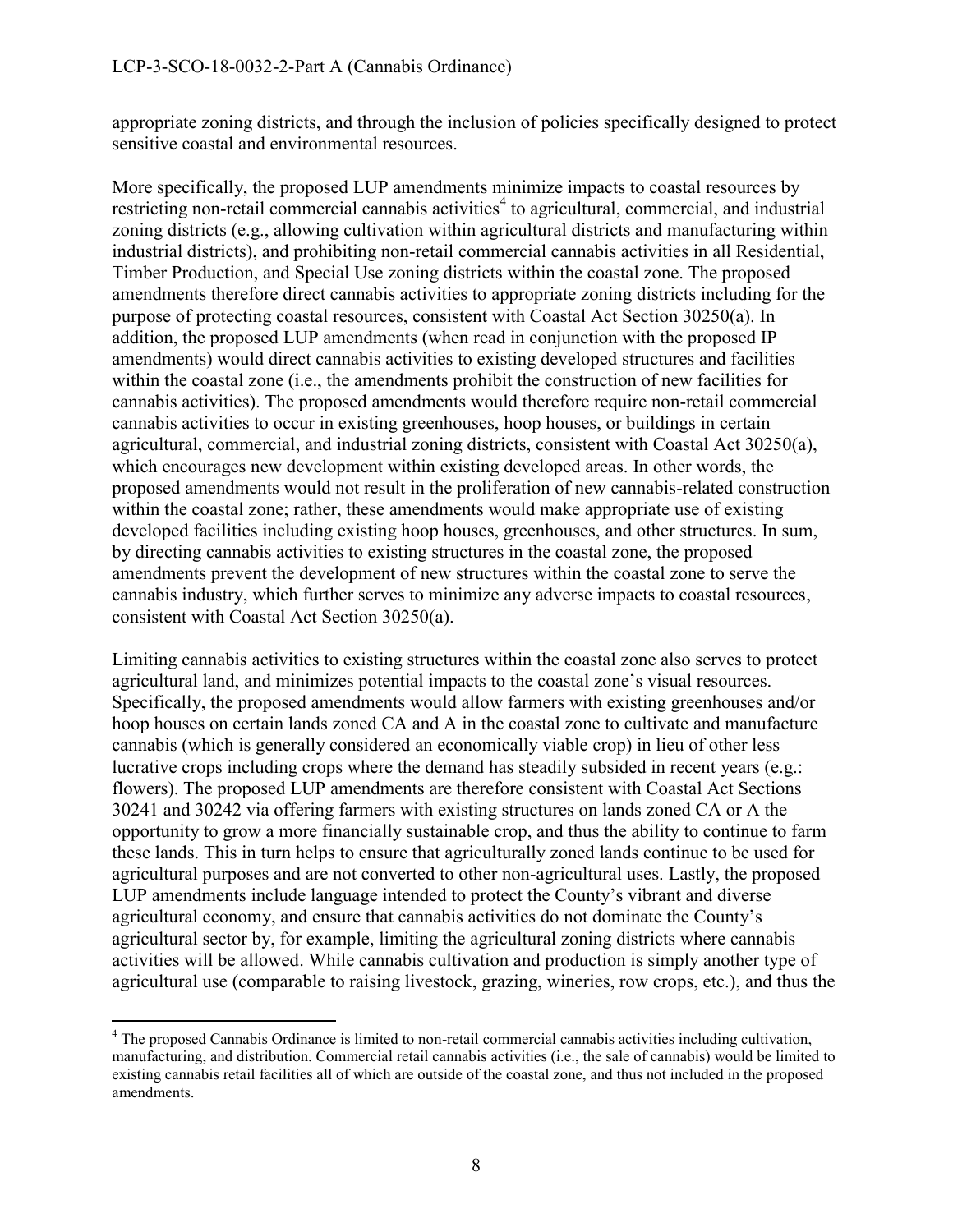appropriate zoning districts, and through the inclusion of policies specifically designed to protect sensitive coastal and environmental resources.

More specifically, the proposed LUP amendments minimize impacts to coastal resources by restricting non-retail commercial cannabis activities<sup>4</sup> to agricultural, commercial, and industrial zoning districts (e.g., allowing cultivation within agricultural districts and manufacturing within industrial districts), and prohibiting non-retail commercial cannabis activities in all Residential, Timber Production, and Special Use zoning districts within the coastal zone. The proposed amendments therefore direct cannabis activities to appropriate zoning districts including for the purpose of protecting coastal resources, consistent with Coastal Act Section 30250(a). In addition, the proposed LUP amendments (when read in conjunction with the proposed IP amendments) would direct cannabis activities to existing developed structures and facilities within the coastal zone (i.e., the amendments prohibit the construction of new facilities for cannabis activities). The proposed amendments would therefore require non-retail commercial cannabis activities to occur in existing greenhouses, hoop houses, or buildings in certain agricultural, commercial, and industrial zoning districts, consistent with Coastal Act 30250(a), which encourages new development within existing developed areas. In other words, the proposed amendments would not result in the proliferation of new cannabis-related construction within the coastal zone; rather, these amendments would make appropriate use of existing developed facilities including existing hoop houses, greenhouses, and other structures. In sum, by directing cannabis activities to existing structures in the coastal zone, the proposed amendments prevent the development of new structures within the coastal zone to serve the cannabis industry, which further serves to minimize any adverse impacts to coastal resources, consistent with Coastal Act Section 30250(a).

Limiting cannabis activities to existing structures within the coastal zone also serves to protect agricultural land, and minimizes potential impacts to the coastal zone's visual resources. Specifically, the proposed amendments would allow farmers with existing greenhouses and/or hoop houses on certain lands zoned CA and A in the coastal zone to cultivate and manufacture cannabis (which is generally considered an economically viable crop) in lieu of other less lucrative crops including crops where the demand has steadily subsided in recent years (e.g.: flowers). The proposed LUP amendments are therefore consistent with Coastal Act Sections 30241 and 30242 via offering farmers with existing structures on lands zoned CA or A the opportunity to grow a more financially sustainable crop, and thus the ability to continue to farm these lands. This in turn helps to ensure that agriculturally zoned lands continue to be used for agricultural purposes and are not converted to other non-agricultural uses. Lastly, the proposed LUP amendments include language intended to protect the County's vibrant and diverse agricultural economy, and ensure that cannabis activities do not dominate the County's agricultural sector by, for example, limiting the agricultural zoning districts where cannabis activities will be allowed. While cannabis cultivation and production is simply another type of agricultural use (comparable to raising livestock, grazing, wineries, row crops, etc.), and thus the

 $\overline{a}$ <sup>4</sup> The proposed Cannabis Ordinance is limited to non-retail commercial cannabis activities including cultivation, manufacturing, and distribution. Commercial retail cannabis activities (i.e., the sale of cannabis) would be limited to existing cannabis retail facilities all of which are outside of the coastal zone, and thus not included in the proposed amendments.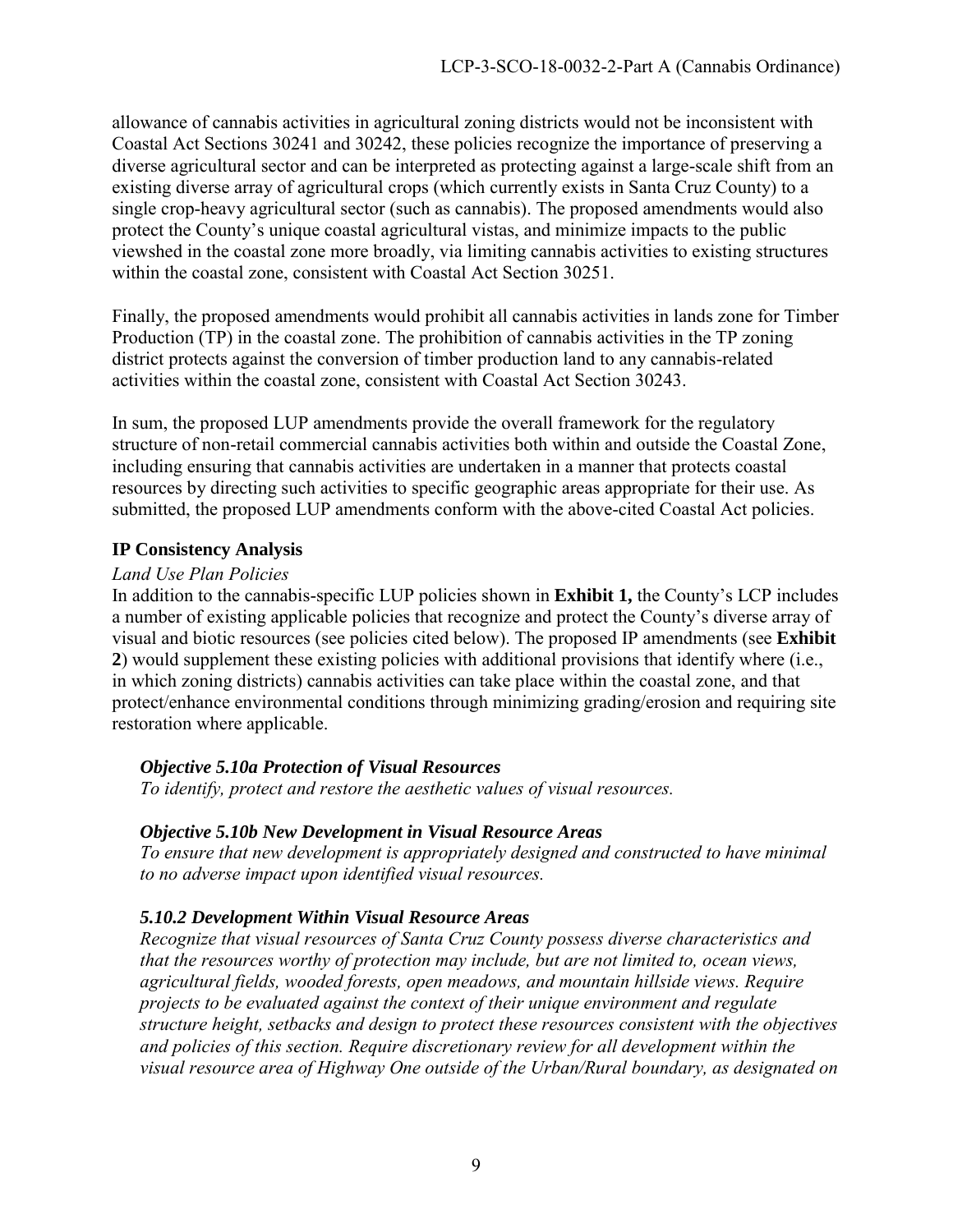allowance of cannabis activities in agricultural zoning districts would not be inconsistent with Coastal Act Sections 30241 and 30242, these policies recognize the importance of preserving a diverse agricultural sector and can be interpreted as protecting against a large-scale shift from an existing diverse array of agricultural crops (which currently exists in Santa Cruz County) to a single crop-heavy agricultural sector (such as cannabis). The proposed amendments would also protect the County's unique coastal agricultural vistas, and minimize impacts to the public viewshed in the coastal zone more broadly, via limiting cannabis activities to existing structures within the coastal zone, consistent with Coastal Act Section 30251.

Finally, the proposed amendments would prohibit all cannabis activities in lands zone for Timber Production (TP) in the coastal zone. The prohibition of cannabis activities in the TP zoning district protects against the conversion of timber production land to any cannabis-related activities within the coastal zone, consistent with Coastal Act Section 30243.

In sum, the proposed LUP amendments provide the overall framework for the regulatory structure of non-retail commercial cannabis activities both within and outside the Coastal Zone, including ensuring that cannabis activities are undertaken in a manner that protects coastal resources by directing such activities to specific geographic areas appropriate for their use. As submitted, the proposed LUP amendments conform with the above-cited Coastal Act policies.

#### **IP Consistency Analysis**

#### *Land Use Plan Policies*

In addition to the cannabis-specific LUP policies shown in **Exhibit 1,** the County's LCP includes a number of existing applicable policies that recognize and protect the County's diverse array of visual and biotic resources (see policies cited below). The proposed IP amendments (see **Exhibit 2**) would supplement these existing policies with additional provisions that identify where (i.e., in which zoning districts) cannabis activities can take place within the coastal zone, and that protect/enhance environmental conditions through minimizing grading/erosion and requiring site restoration where applicable.

#### *Objective 5.10a Protection of Visual Resources*

*To identify, protect and restore the aesthetic values of visual resources.* 

#### *Objective 5.10b New Development in Visual Resource Areas*

*To ensure that new development is appropriately designed and constructed to have minimal to no adverse impact upon identified visual resources.* 

#### *5.10.2 Development Within Visual Resource Areas*

*Recognize that visual resources of Santa Cruz County possess diverse characteristics and that the resources worthy of protection may include, but are not limited to, ocean views, agricultural fields, wooded forests, open meadows, and mountain hillside views. Require projects to be evaluated against the context of their unique environment and regulate structure height, setbacks and design to protect these resources consistent with the objectives and policies of this section. Require discretionary review for all development within the visual resource area of Highway One outside of the Urban/Rural boundary, as designated on*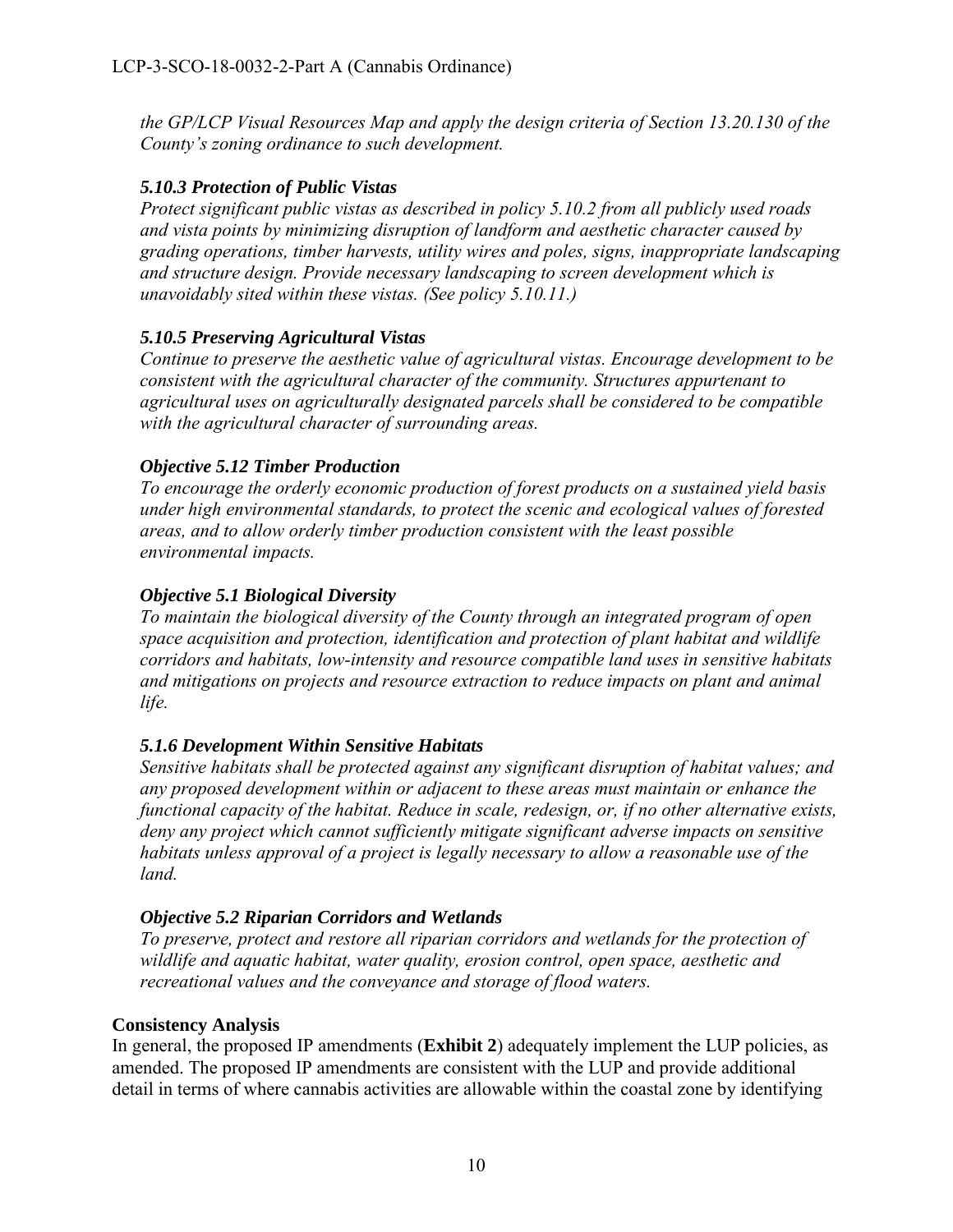*the GP/LCP Visual Resources Map and apply the design criteria of Section 13.20.130 of the County's zoning ordinance to such development.* 

#### *5.10.3 Protection of Public Vistas*

*Protect significant public vistas as described in policy 5.10.2 from all publicly used roads and vista points by minimizing disruption of landform and aesthetic character caused by grading operations, timber harvests, utility wires and poles, signs, inappropriate landscaping and structure design. Provide necessary landscaping to screen development which is unavoidably sited within these vistas. (See policy 5.10.11.)* 

#### *5.10.5 Preserving Agricultural Vistas*

*Continue to preserve the aesthetic value of agricultural vistas. Encourage development to be consistent with the agricultural character of the community. Structures appurtenant to agricultural uses on agriculturally designated parcels shall be considered to be compatible with the agricultural character of surrounding areas.* 

#### *Objective 5.12 Timber Production*

*To encourage the orderly economic production of forest products on a sustained yield basis under high environmental standards, to protect the scenic and ecological values of forested areas, and to allow orderly timber production consistent with the least possible environmental impacts.* 

#### *Objective 5.1 Biological Diversity*

*To maintain the biological diversity of the County through an integrated program of open space acquisition and protection, identification and protection of plant habitat and wildlife corridors and habitats, low-intensity and resource compatible land uses in sensitive habitats and mitigations on projects and resource extraction to reduce impacts on plant and animal life.* 

#### *5.1.6 Development Within Sensitive Habitats*

*Sensitive habitats shall be protected against any significant disruption of habitat values; and any proposed development within or adjacent to these areas must maintain or enhance the functional capacity of the habitat. Reduce in scale, redesign, or, if no other alternative exists, deny any project which cannot sufficiently mitigate significant adverse impacts on sensitive habitats unless approval of a project is legally necessary to allow a reasonable use of the land.*

#### *Objective 5.2 Riparian Corridors and Wetlands*

*To preserve, protect and restore all riparian corridors and wetlands for the protection of wildlife and aquatic habitat, water quality, erosion control, open space, aesthetic and recreational values and the conveyance and storage of flood waters.* 

#### **Consistency Analysis**

In general, the proposed IP amendments (**Exhibit 2**) adequately implement the LUP policies, as amended. The proposed IP amendments are consistent with the LUP and provide additional detail in terms of where cannabis activities are allowable within the coastal zone by identifying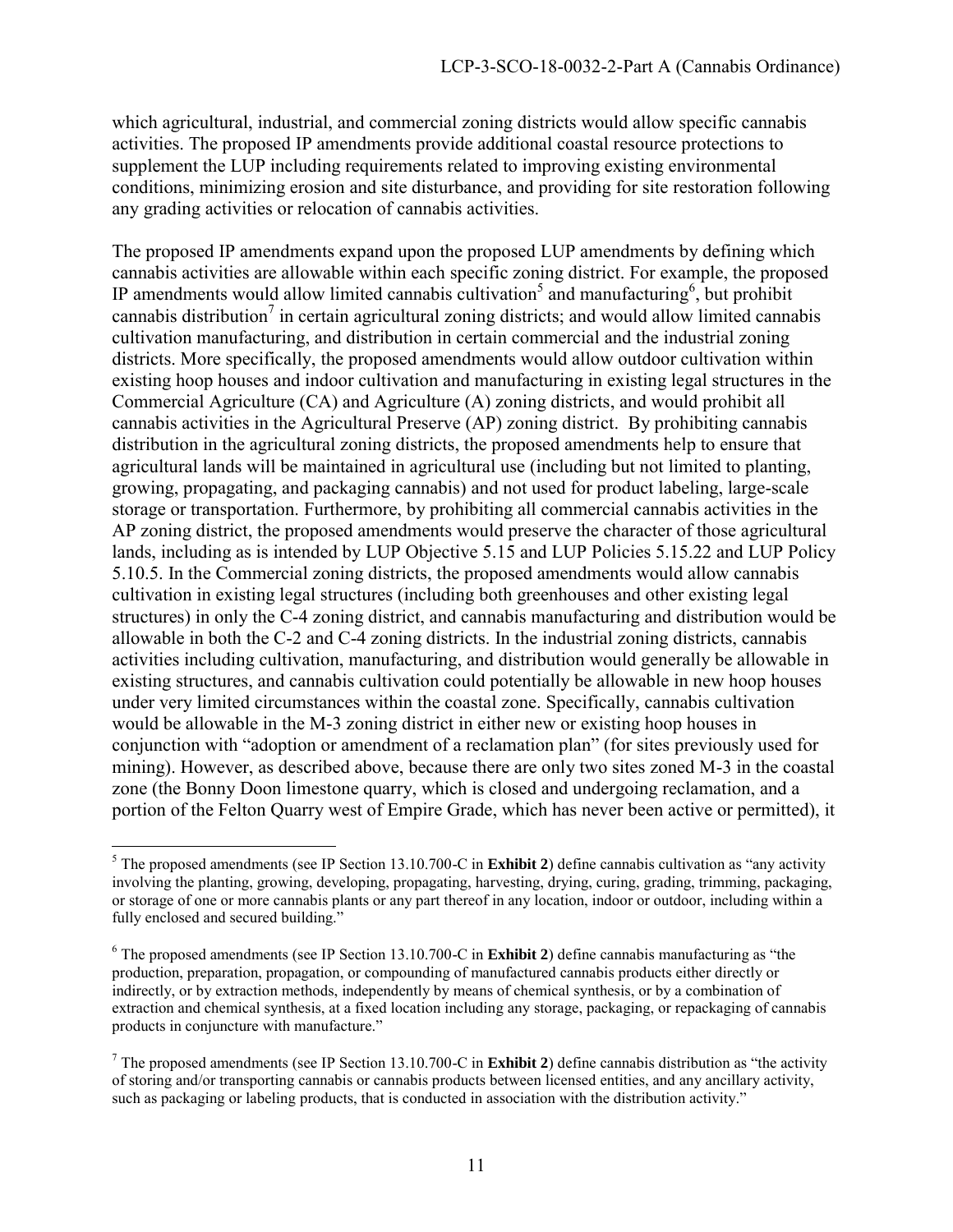which agricultural, industrial, and commercial zoning districts would allow specific cannabis activities. The proposed IP amendments provide additional coastal resource protections to supplement the LUP including requirements related to improving existing environmental conditions, minimizing erosion and site disturbance, and providing for site restoration following any grading activities or relocation of cannabis activities.

The proposed IP amendments expand upon the proposed LUP amendments by defining which cannabis activities are allowable within each specific zoning district. For example, the proposed IP amendments would allow limited cannabis cultivation<sup>5</sup> and manufacturing<sup>6</sup>, but prohibit cannabis distribution<sup>7</sup> in certain agricultural zoning districts; and would allow limited cannabis cultivation manufacturing, and distribution in certain commercial and the industrial zoning districts. More specifically, the proposed amendments would allow outdoor cultivation within existing hoop houses and indoor cultivation and manufacturing in existing legal structures in the Commercial Agriculture (CA) and Agriculture (A) zoning districts, and would prohibit all cannabis activities in the Agricultural Preserve (AP) zoning district. By prohibiting cannabis distribution in the agricultural zoning districts, the proposed amendments help to ensure that agricultural lands will be maintained in agricultural use (including but not limited to planting, growing, propagating, and packaging cannabis) and not used for product labeling, large-scale storage or transportation. Furthermore, by prohibiting all commercial cannabis activities in the AP zoning district, the proposed amendments would preserve the character of those agricultural lands, including as is intended by LUP Objective 5.15 and LUP Policies 5.15.22 and LUP Policy 5.10.5. In the Commercial zoning districts, the proposed amendments would allow cannabis cultivation in existing legal structures (including both greenhouses and other existing legal structures) in only the C-4 zoning district, and cannabis manufacturing and distribution would be allowable in both the C-2 and C-4 zoning districts. In the industrial zoning districts, cannabis activities including cultivation, manufacturing, and distribution would generally be allowable in existing structures, and cannabis cultivation could potentially be allowable in new hoop houses under very limited circumstances within the coastal zone. Specifically, cannabis cultivation would be allowable in the M-3 zoning district in either new or existing hoop houses in conjunction with "adoption or amendment of a reclamation plan" (for sites previously used for mining). However, as described above, because there are only two sites zoned M-3 in the coastal zone (the Bonny Doon limestone quarry, which is closed and undergoing reclamation, and a portion of the Felton Quarry west of Empire Grade, which has never been active or permitted), it

<sup>&</sup>lt;sup>5</sup> The proposed amendments (see IP Section 13.10.700-C in **Exhibit 2**) define cannabis cultivation as "any activity" involving the planting, growing, developing, propagating, harvesting, drying, curing, grading, trimming, packaging, or storage of one or more cannabis plants or any part thereof in any location, indoor or outdoor, including within a fully enclosed and secured building."

<sup>&</sup>lt;sup>6</sup> The proposed amendments (see IP Section 13.10.700-C in **Exhibit 2**) define cannabis manufacturing as "the production, preparation, propagation, or compounding of manufactured cannabis products either directly or indirectly, or by extraction methods, independently by means of chemical synthesis, or by a combination of extraction and chemical synthesis, at a fixed location including any storage, packaging, or repackaging of cannabis products in conjuncture with manufacture."

<sup>&</sup>lt;sup>7</sup> The proposed amendments (see IP Section 13.10.700-C in **Exhibit 2**) define cannabis distribution as "the activity of storing and/or transporting cannabis or cannabis products between licensed entities, and any ancillary activity, such as packaging or labeling products, that is conducted in association with the distribution activity."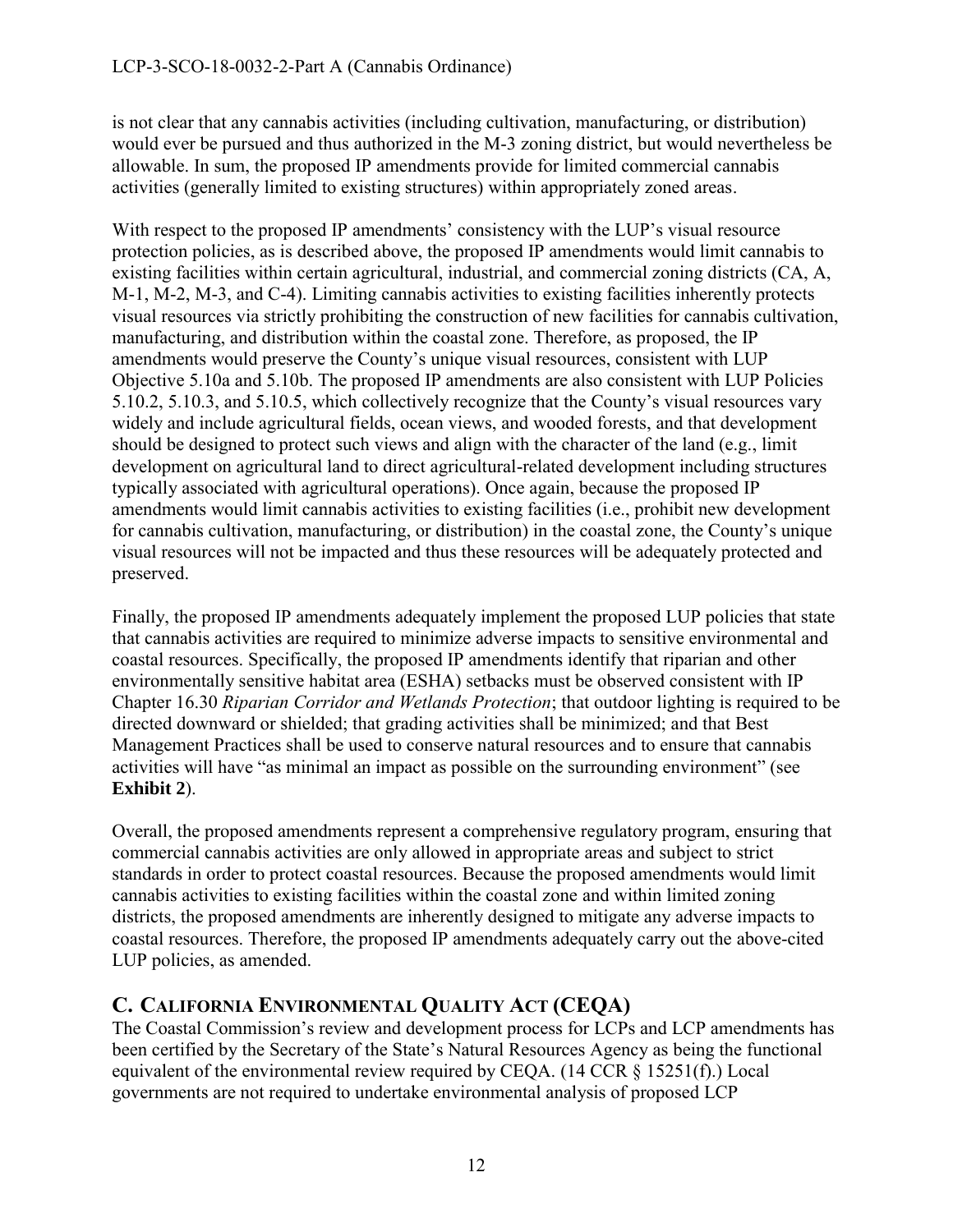is not clear that any cannabis activities (including cultivation, manufacturing, or distribution) would ever be pursued and thus authorized in the M-3 zoning district, but would nevertheless be allowable. In sum, the proposed IP amendments provide for limited commercial cannabis activities (generally limited to existing structures) within appropriately zoned areas.

With respect to the proposed IP amendments' consistency with the LUP's visual resource protection policies, as is described above, the proposed IP amendments would limit cannabis to existing facilities within certain agricultural, industrial, and commercial zoning districts (CA, A, M-1, M-2, M-3, and C-4). Limiting cannabis activities to existing facilities inherently protects visual resources via strictly prohibiting the construction of new facilities for cannabis cultivation, manufacturing, and distribution within the coastal zone. Therefore, as proposed, the IP amendments would preserve the County's unique visual resources, consistent with LUP Objective 5.10a and 5.10b. The proposed IP amendments are also consistent with LUP Policies 5.10.2, 5.10.3, and 5.10.5, which collectively recognize that the County's visual resources vary widely and include agricultural fields, ocean views, and wooded forests, and that development should be designed to protect such views and align with the character of the land (e.g., limit development on agricultural land to direct agricultural-related development including structures typically associated with agricultural operations). Once again, because the proposed IP amendments would limit cannabis activities to existing facilities (i.e., prohibit new development for cannabis cultivation, manufacturing, or distribution) in the coastal zone, the County's unique visual resources will not be impacted and thus these resources will be adequately protected and preserved.

Finally, the proposed IP amendments adequately implement the proposed LUP policies that state that cannabis activities are required to minimize adverse impacts to sensitive environmental and coastal resources. Specifically, the proposed IP amendments identify that riparian and other environmentally sensitive habitat area (ESHA) setbacks must be observed consistent with IP Chapter 16.30 *Riparian Corridor and Wetlands Protection*; that outdoor lighting is required to be directed downward or shielded; that grading activities shall be minimized; and that Best Management Practices shall be used to conserve natural resources and to ensure that cannabis activities will have "as minimal an impact as possible on the surrounding environment" (see **Exhibit 2**).

Overall, the proposed amendments represent a comprehensive regulatory program, ensuring that commercial cannabis activities are only allowed in appropriate areas and subject to strict standards in order to protect coastal resources. Because the proposed amendments would limit cannabis activities to existing facilities within the coastal zone and within limited zoning districts, the proposed amendments are inherently designed to mitigate any adverse impacts to coastal resources. Therefore, the proposed IP amendments adequately carry out the above-cited LUP policies, as amended.

# <span id="page-11-0"></span>**C. CALIFORNIA ENVIRONMENTAL QUALITY ACT (CEQA)**

The Coastal Commission's review and development process for LCPs and LCP amendments has been certified by the Secretary of the State's Natural Resources Agency as being the functional equivalent of the environmental review required by CEQA. (14 CCR § 15251(f).) Local governments are not required to undertake environmental analysis of proposed LCP